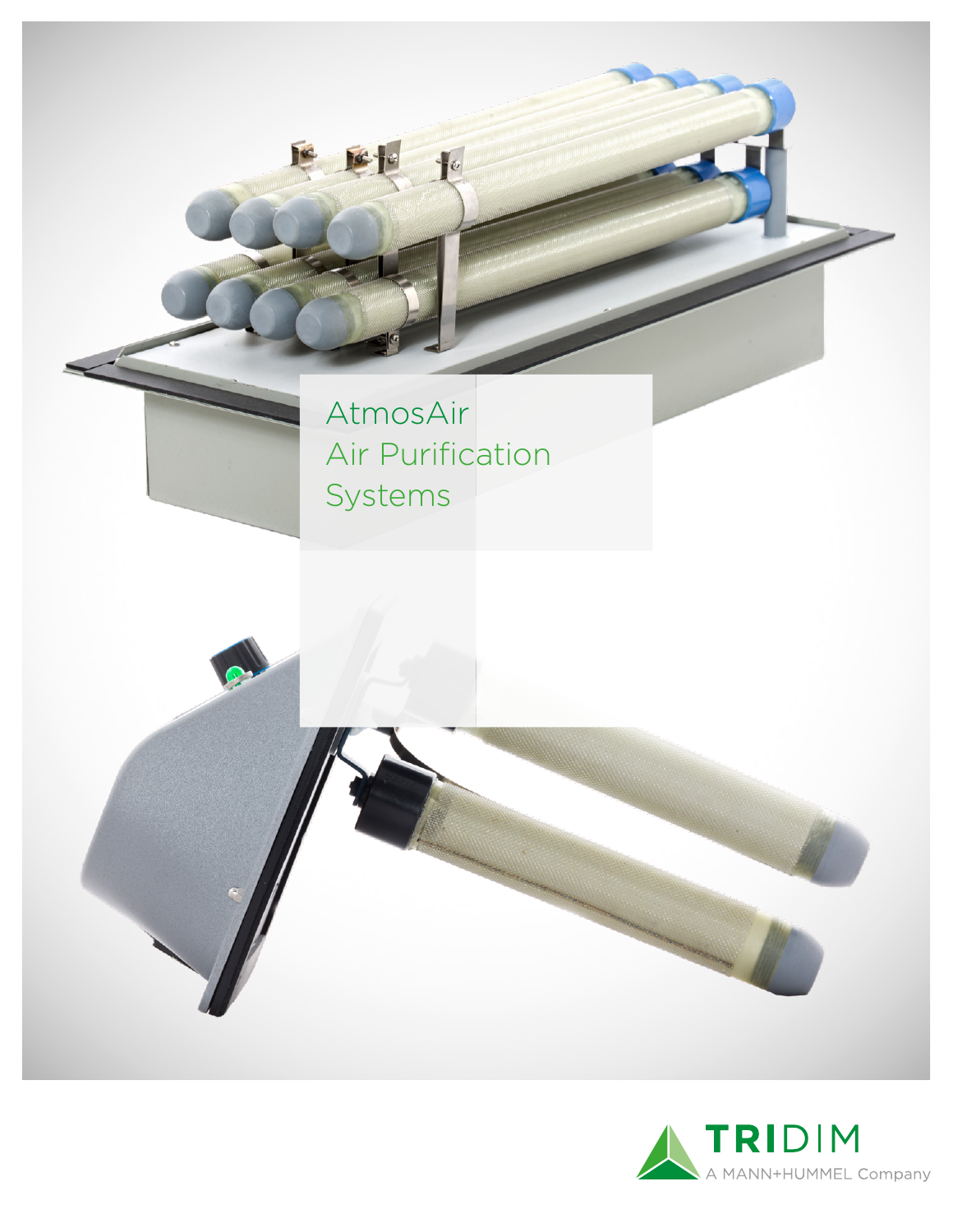

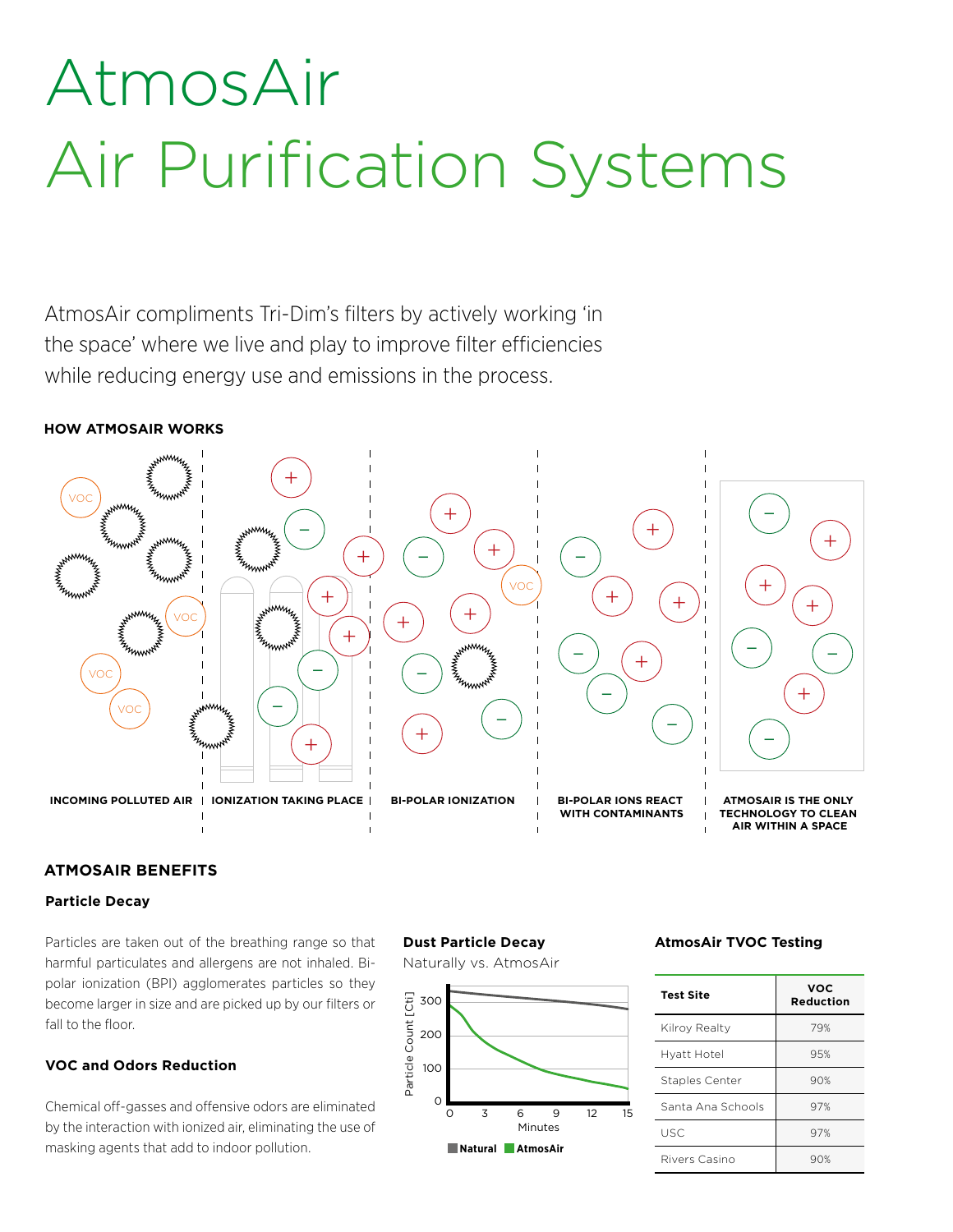## AtmosAir Air Purification Systems

AtmosAir compliments Tri-Dim's filters by actively working 'in the space' where we live and play to improve filter efficiencies while reducing energy use and emissions in the process.

### **HOW ATMOSAIR WORKS**



#### **ATMOSAIR BENEFITS**

#### **Particle Decay**

Particles are taken out of the breathing range so that harmful particulates and allergens are not inhaled. Bipolar ionization (BPI) agglomerates particles so they become larger in size and are picked up by our filters or fall to the floor.

#### **VOC and Odors Reduction**

Chemical off-gasses and offensive odors are eliminated by the interaction with ionized air, eliminating the use of masking agents that add to indoor pollution.

### **Dust Particle Decay**

Naturally vs. AtmosAir



### **AtmosAir TVOC Testing**

| <b>Test Site</b>      | <b>VOC</b><br><b>Reduction</b> |  |  |
|-----------------------|--------------------------------|--|--|
| Kilroy Realty         | 79%                            |  |  |
| Hyatt Hotel           | 95%                            |  |  |
| <b>Staples Center</b> | 90%                            |  |  |
| Santa Ana Schools     | 97%                            |  |  |
| <b>USC</b>            | 97%                            |  |  |
| Rivers Casino         | 90%                            |  |  |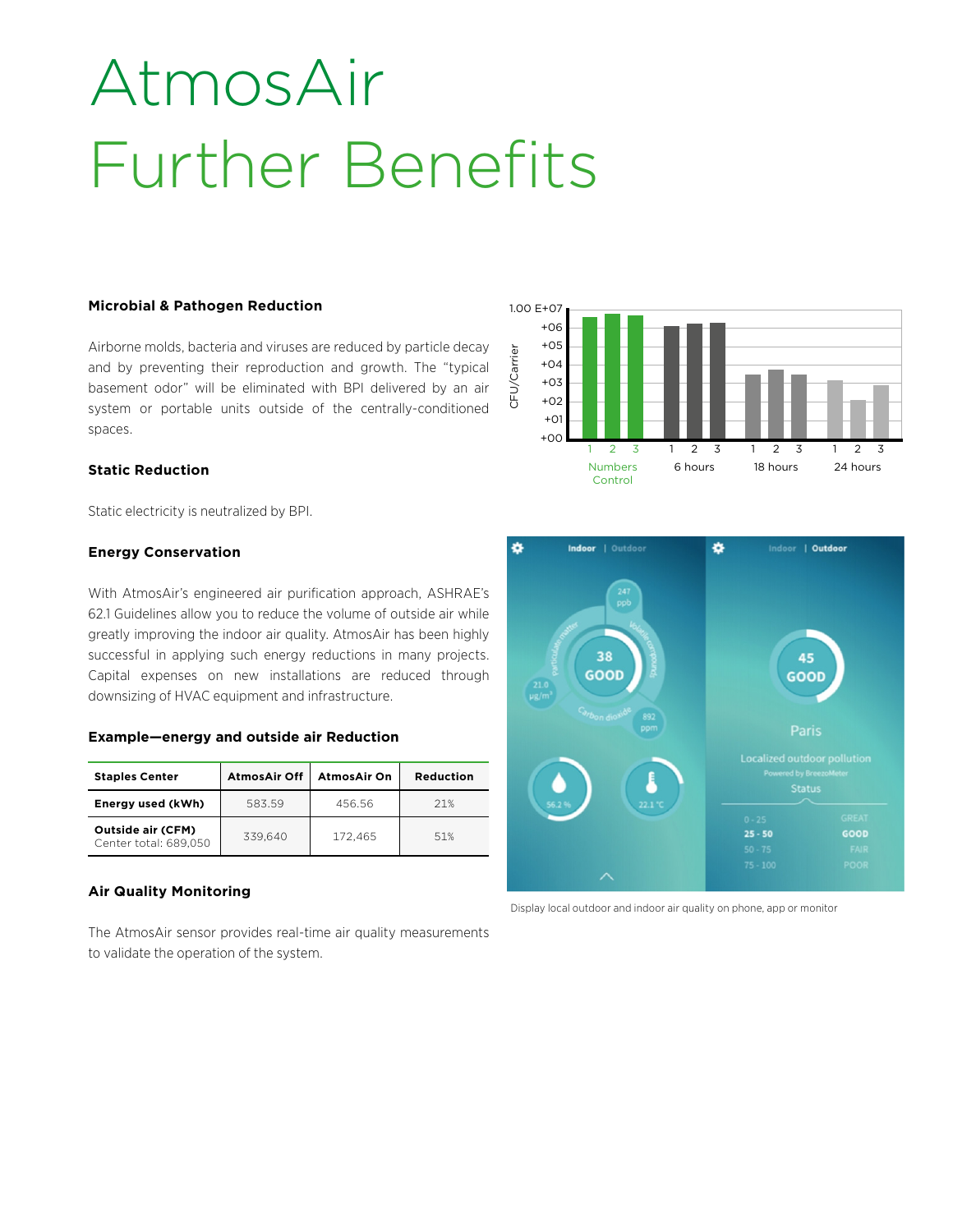## AtmosAir Further Benefits

#### **Microbial & Pathogen Reduction**

Airborne molds, bacteria and viruses are reduced by particle decay and by preventing their reproduction and growth. The "typical basement odor" will be eliminated with BPI delivered by an air system or portable units outside of the centrally-conditioned spaces.

#### **Static Reduction**

Static electricity is neutralized by BPI.

#### **Energy Conservation**

With AtmosAir's engineered air purification approach, ASHRAE's 62.1 Guidelines allow you to reduce the volume of outside air while greatly improving the indoor air quality. AtmosAir has been highly successful in applying such energy reductions in many projects. Capital expenses on new installations are reduced through downsizing of HVAC equipment and infrastructure.

#### **Example—energy and outside air Reduction**

| <b>Staples Center</b>                      | <b>AtmosAir Off</b> | <b>AtmosAir On</b> | <b>Reduction</b> |
|--------------------------------------------|---------------------|--------------------|------------------|
| Energy used (kWh)                          | 583.59              | 456.56             | 21%              |
| Outside air (CFM)<br>Center total: 689,050 | 339.640             | 172.465            | 51%              |

#### **Air Quality Monitoring**

The AtmosAir sensor provides real-time air quality measurements to validate the operation of the system.





Display local outdoor and indoor air quality on phone, app or monitor